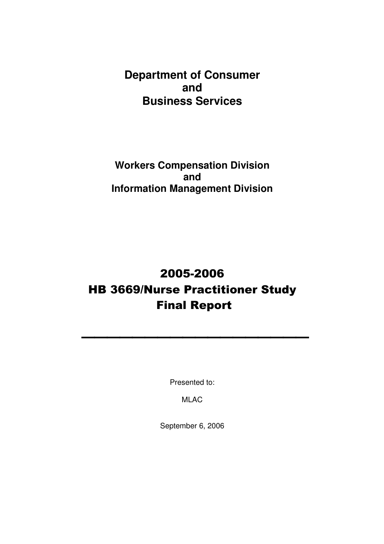**Department of Consumer and Business Services** 

**Workers Compensation Division and Information Management Division** 

# 2005-2006 HB 3669/Nurse Practitioner Study Final Report

**\_\_\_\_\_\_\_\_\_\_\_\_\_\_\_\_\_\_** 

Presented to:

MLAC

September 6, 2006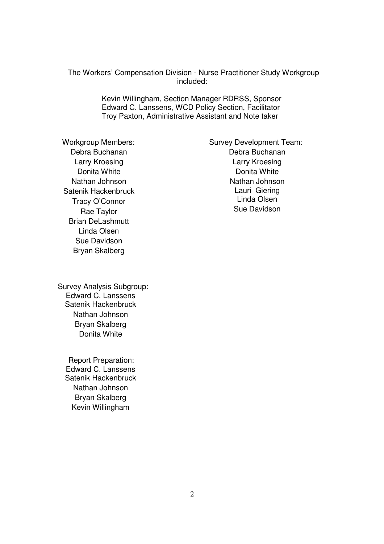The Workers' Compensation Division - Nurse Practitioner Study Workgroup included:

> Kevin Willingham, Section Manager RDRSS, Sponsor Edward C. Lanssens, WCD Policy Section, Facilitator Troy Paxton, Administrative Assistant and Note taker

Debra Buchanan Larry Kroesing Donita White Nathan Johnson Satenik Hackenbruck Tracy O'Connor Rae Taylor Brian DeLashmutt Linda Olsen Sue Davidson Bryan Skalberg

Workgroup Members: Survey Development Team: Debra Buchanan Larry Kroesing Donita White Nathan Johnson Lauri Giering Linda Olsen Sue Davidson

 Survey Analysis Subgroup: Edward C. Lanssens Satenik Hackenbruck Nathan Johnson Bryan Skalberg Donita White

 Report Preparation: Edward C. Lanssens Satenik Hackenbruck Nathan Johnson Bryan Skalberg Kevin Willingham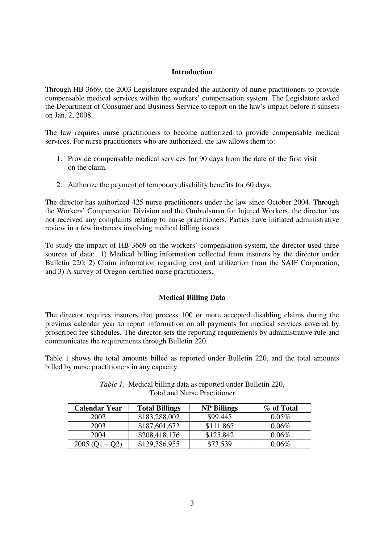#### **Introduction**

Through HB 3669, the 2003 Legislature expanded the authority of nurse practitioners to provide compensable medical services within the workers' compensation system. The Legislature asked the Department of Consumer and Business Service to report on the law's impact before it sunsets on Jan. 2, 2008.

The law requires nurse practitioners to become authorized to provide compensable medical services. For nurse practitioners who are authorized, the law allows them to:

- 1. Provide compensable medical services for 90 days from the date of the first visit on the claim.
- 2. Authorize the payment of temporary disability benefits for 60 days.

The director has authorized 425 nurse practitioners under the law since October 2004. Through the Workers' Compensation Division and the Ombudsman for Injured Workers, the director has not received any complaints relating to nurse practitioners. Parties have initiated administrative review in a few instances involving medical billing issues.

To study the impact of HB 3669 on the workers' compensation system, the director used three sources of data: 1) Medical billing information collected from insurers by the director under Bulletin 220; 2) Claim information regarding cost and utilization from the SAIF Corporation; and 3) A survey of Oregon-certified nurse practitioners.

## **Medical Billing Data**

The director requires insurers that process 100 or more accepted disabling claims during the previous calendar year to report information on all payments for medical services covered by proscribed fee schedules. The director sets the reporting requirements by administrative rule and communicates the requirements through Bulletin 220.

Table 1 shows the total amounts billed as reported under Bulletin 220, and the total amounts billed by nurse practitioners in any capacity.

| Calendar Year    | <b>Total Billings</b> | <b>NP Billings</b> | % of Total |
|------------------|-----------------------|--------------------|------------|
| 2002             | \$183,288,002         | \$99,445           | $0.05\%$   |
| 2003             | \$187,601,672         | \$111,865          | $0.06\%$   |
| 2004             | \$208,418,176         | \$125,842          | $0.06\%$   |
| $2005 (Q1 - Q2)$ | \$129,386,955         | \$73,539           | $0.06\%$   |

*Table 1.* Medical billing data as reported under Bulletin 220, Total and Nurse Practitioner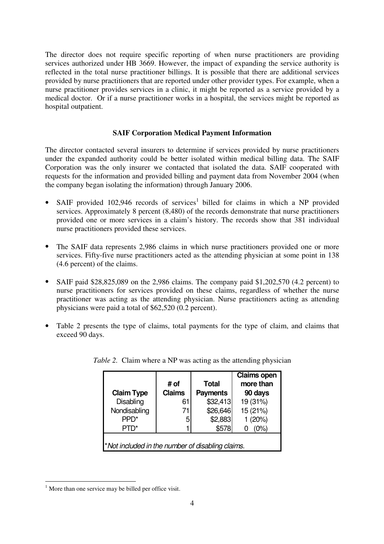The director does not require specific reporting of when nurse practitioners are providing services authorized under HB 3669. However, the impact of expanding the service authority is reflected in the total nurse practitioner billings. It is possible that there are additional services provided by nurse practitioners that are reported under other provider types. For example, when a nurse practitioner provides services in a clinic, it might be reported as a service provided by a medical doctor. Or if a nurse practitioner works in a hospital, the services might be reported as hospital outpatient.

### **SAIF Corporation Medical Payment Information**

The director contacted several insurers to determine if services provided by nurse practitioners under the expanded authority could be better isolated within medical billing data. The SAIF Corporation was the only insurer we contacted that isolated the data. SAIF cooperated with requests for the information and provided billing and payment data from November 2004 (when the company began isolating the information) through January 2006.

- SAIF provided  $102,946$  records of services<sup>1</sup> billed for claims in which a NP provided services. Approximately 8 percent (8,480) of the records demonstrate that nurse practitioners provided one or more services in a claim's history. The records show that 381 individual nurse practitioners provided these services.
- The SAIF data represents 2,986 claims in which nurse practitioners provided one or more services. Fifty-five nurse practitioners acted as the attending physician at some point in 138 (4.6 percent) of the claims.
- SAIF paid \$28,825,089 on the 2,986 claims. The company paid \$1,202,570 (4.2 percent) to nurse practitioners for services provided on these claims, regardless of whether the nurse practitioner was acting as the attending physician. Nurse practitioners acting as attending physicians were paid a total of \$62,520 (0.2 percent).
- Table 2 presents the type of claims, total payments for the type of claim, and claims that exceed 90 days.

| <b>Claim Type</b>                                | # of<br><b>Claims</b> | <b>Total</b><br><b>Payments</b> | Claims open<br>more than<br>90 days |
|--------------------------------------------------|-----------------------|---------------------------------|-------------------------------------|
| <b>Disabling</b>                                 | 61                    | \$32,413                        | 19 (31%)                            |
| Nondisabling                                     | 71                    | \$26,646                        | 15 (21%)                            |
| PP <sub>D</sub> *                                | 5                     | \$2,883                         | 1(20%)                              |
| PTD*                                             |                       | \$578                           | $(0\%)$                             |
| *Not included in the number of disabling claims. |                       |                                 |                                     |

*Table 2.* Claim where a NP was acting as the attending physician

<sup>-</sup> $<sup>1</sup>$  More than one service may be billed per office visit.</sup>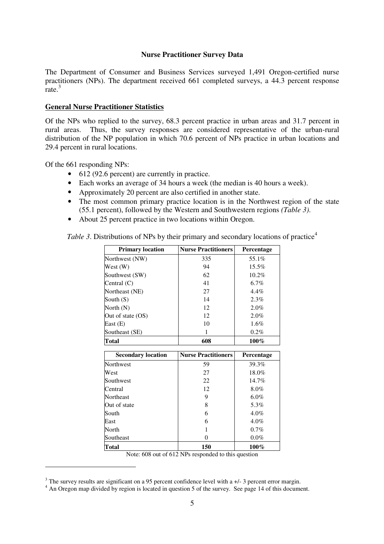#### **Nurse Practitioner Survey Data**

The Department of Consumer and Business Services surveyed 1,491 Oregon-certified nurse practitioners (NPs). The department received 661 completed surveys, a 44.3 percent response rate.<sup>3</sup>

#### **General Nurse Practitioner Statistics**

Of the NPs who replied to the survey, 68.3 percent practice in urban areas and 31.7 percent in rural areas. Thus, the survey responses are considered representative of the urban-rural distribution of the NP population in which 70.6 percent of NPs practice in urban locations and 29.4 percent in rural locations.

Of the 661 responding NPs:

-

- 612 (92.6 percent) are currently in practice.
- Each works an average of 34 hours a week (the median is 40 hours a week).
- Approximately 20 percent are also certified in another state.
- The most common primary practice location is in the Northwest region of the state (55.1 percent), followed by the Western and Southwestern regions *(Table 3)*.
- About 25 percent practice in two locations within Oregon.

*Table 3*. Distributions of NPs by their primary and secondary locations of practice<sup>4</sup>

| <b>Primary location</b>   | <b>Nurse Practitioners</b> | Percentage |
|---------------------------|----------------------------|------------|
| Northwest (NW)            | 335                        | 55.1%      |
| West (W)                  | 94                         | $15.5\%$   |
| Southwest (SW)            | 62                         | 10.2%      |
| Central (C)               | 41                         | $6.7\%$    |
| Northeast (NE)            | 27                         | 4.4%       |
| South $(S)$               | 14                         | 2.3%       |
| North (N)                 | 12                         | 2.0%       |
| Out of state (OS)         | 12                         | 2.0%       |
| East (E)                  | 10                         | 1.6%       |
| Southeast (SE)            | 1                          | 0.2%       |
| <b>Total</b>              | 608                        | 100%       |
|                           |                            |            |
|                           |                            |            |
| <b>Secondary location</b> | <b>Nurse Practitioners</b> | Percentage |
| Northwest                 | 59                         | 39.3%      |
| West                      | 27                         | 18.0%      |
| Southwest                 | 22                         | 14.7%      |
| Central                   | 12                         | 8.0%       |
| Northeast                 | 9                          | $6.0\%$    |
| Out of state              | 8                          | 5.3%       |
| South                     | 6                          | 4.0%       |
| East                      | 6                          | 4.0%       |
| North                     | 1                          | 0.7%       |
| Southeast                 | $\theta$                   | $0.0\%$    |

Note: 608 out of 612 NPs responded to this question

 $3$  The survey results are significant on a 95 percent confidence level with a  $+/-3$  percent error margin.

<sup>&</sup>lt;sup>4</sup> An Oregon map divided by region is located in question 5 of the survey. See page 14 of this document.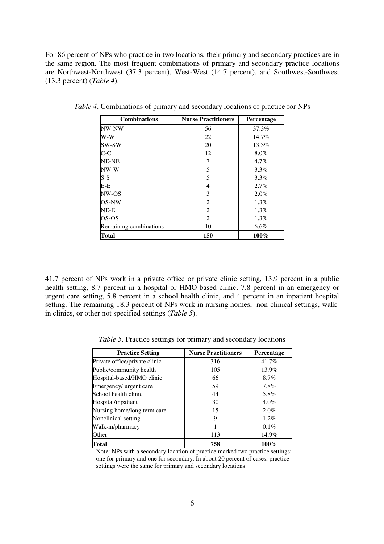For 86 percent of NPs who practice in two locations, their primary and secondary practices are in the same region. The most frequent combinations of primary and secondary practice locations are Northwest-Northwest (37.3 percent), West-West (14.7 percent), and Southwest-Southwest (13.3 percent) (*Table 4*).

| <b>Combinations</b>    | <b>Nurse Practitioners</b> | <b>Percentage</b> |
|------------------------|----------------------------|-------------------|
| NW-NW                  | 56                         | 37.3%             |
| W-W                    | 22                         | 14.7%             |
| SW-SW                  | 20                         | 13.3%             |
| $C-C$                  | 12                         | 8.0%              |
| NE-NE                  |                            | $4.7\%$           |
| NW-W                   | 5                          | 3.3%              |
| $S-S$                  | 5                          | $3.3\%$           |
| E-E                    | 4                          | 2.7%              |
| NW-OS                  | 3                          | $2.0\%$           |
| OS-NW                  | $\overline{2}$             | $1.3\%$           |
| $NE-E$                 | $\overline{2}$             | 1.3%              |
| OS-OS                  | 2                          | $1.3\%$           |
| Remaining combinations | 10                         | 6.6%              |
| Total                  | 150                        | 100%              |

*Table 4*. Combinations of primary and secondary locations of practice for NPs

41.7 percent of NPs work in a private office or private clinic setting, 13.9 percent in a public health setting, 8.7 percent in a hospital or HMO-based clinic, 7.8 percent in an emergency or urgent care setting, 5.8 percent in a school health clinic, and 4 percent in an inpatient hospital setting. The remaining 18.3 percent of NPs work in nursing homes, non-clinical settings, walkin clinics, or other not specified settings (*Table 5*).

| <b>Practice Setting</b>       | <b>Nurse Practitioners</b> | Percentage |
|-------------------------------|----------------------------|------------|
| Private office/private clinic | 316                        | 41.7%      |
| Public/community health       | 105                        | 13.9%      |
| Hospital-based/HMO clinic     | 66                         | 8.7%       |
| Emergency/ urgent care        | 59                         | 7.8%       |
| School health clinic          | 44                         | 5.8%       |
| Hospital/inpatient            | 30                         | $4.0\%$    |
| Nursing home/long term care   | 15                         | $2.0\%$    |
| Nonclinical setting           | 9                          | $1.2\%$    |
| Walk-in/pharmacy              |                            | $0.1\%$    |
| Other                         | 113                        | 14.9%      |
| Total                         | 758                        | 100%       |

*Table 5*. Practice settings for primary and secondary locations

Note: NPs with a secondary location of practice marked two practice settings: one for primary and one for secondary. In about 20 percent of cases, practice settings were the same for primary and secondary locations.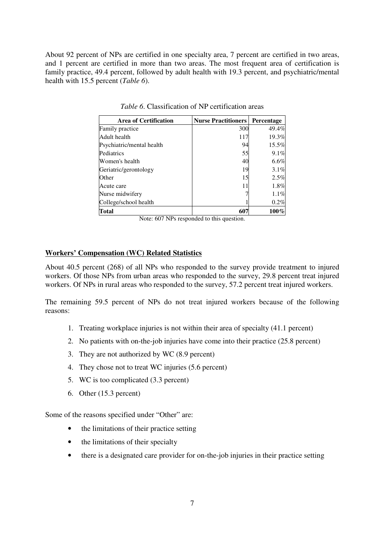About 92 percent of NPs are certified in one specialty area, 7 percent are certified in two areas, and 1 percent are certified in more than two areas. The most frequent area of certification is family practice, 49.4 percent, followed by adult health with 19.3 percent, and psychiatric/mental health with 15.5 percent (*Table 6*).

| <b>Area of Certification</b> | <b>Nurse Practitioners</b> | Percentage |
|------------------------------|----------------------------|------------|
| Family practice              | 300                        | 49.4%      |
| Adult health                 | 117                        | 19.3%      |
| Psychiatric/mental health    | 94                         | 15.5%      |
| Pediatrics                   | 55                         | 9.1%       |
| Women's health               | 40                         | $6.6\%$    |
| Geriatric/gerontology        | 19                         | 3.1%       |
| Other                        | 15                         | 2.5%       |
| Acute care                   | 11                         | 1.8%       |
| Nurse midwifery              |                            | 1.1%       |
| College/school health        |                            | 0.2%       |
| <b>Total</b>                 | 607                        | $100\%$    |

*Table 6*. Classification of NP certification areas

Note: 607 NPs responded to this question.

#### **Workers' Compensation (WC) Related Statistics**

About 40.5 percent (268) of all NPs who responded to the survey provide treatment to injured workers. Of those NPs from urban areas who responded to the survey, 29.8 percent treat injured workers. Of NPs in rural areas who responded to the survey, 57.2 percent treat injured workers.

The remaining 59.5 percent of NPs do not treat injured workers because of the following reasons:

- 1. Treating workplace injuries is not within their area of specialty (41.1 percent)
- 2. No patients with on-the-job injuries have come into their practice (25.8 percent)
- 3. They are not authorized by WC (8.9 percent)
- 4. They chose not to treat WC injuries (5.6 percent)
- 5. WC is too complicated (3.3 percent)
- 6. Other (15.3 percent)

Some of the reasons specified under "Other" are:

- the limitations of their practice setting
- the limitations of their specialty
- there is a designated care provider for on-the-job injuries in their practice setting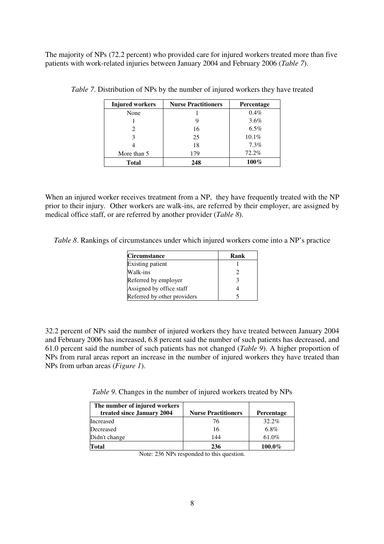The majority of NPs (72.2 percent) who provided care for injured workers treated more than five patients with work-related injuries between January 2004 and February 2006 (*Table 7*).

| <b>Injured workers</b> | <b>Nurse Practitioners</b> | Percentage |
|------------------------|----------------------------|------------|
| None                   |                            | 0.4%       |
|                        |                            | 3.6%       |
|                        | 16                         | $6.5\%$    |
|                        | 25                         | 10.1%      |
|                        | 18                         | 7.3%       |
| More than 5            | 179                        | 72.2%      |
| <b>Total</b>           | 248                        | $100\%$    |

*Table 7*. Distribution of NPs by the number of injured workers they have treated

When an injured worker receives treatment from a NP, they have frequently treated with the NP prior to their injury. Other workers are walk-ins, are referred by their employer, are assigned by medical office staff, or are referred by another provider (*Table 8*).

*Table 8*. Rankings of circumstances under which injured workers come into a NP's practice

| <b>Circumstance</b>         | Rank |
|-----------------------------|------|
| Existing patient            |      |
| Walk-ins                    |      |
| Referred by employer        |      |
| Assigned by office staff    |      |
| Referred by other providers |      |

32.2 percent of NPs said the number of injured workers they have treated between January 2004 and February 2006 has increased, 6.8 percent said the number of such patients has decreased, and 61.0 percent said the number of such patients has not changed (*Table 9*). A higher proportion of NPs from rural areas report an increase in the number of injured workers they have treated than NPs from urban areas (*Figure 1*).

*Table 9*. Changes in the number of injured workers treated by NPs

| The number of injured workers<br>treated since January 2004 | <b>Nurse Practitioners</b> | <b>Percentage</b> |
|-------------------------------------------------------------|----------------------------|-------------------|
| Increased                                                   | 76                         | $32.2\%$          |
| Decreased                                                   | 16                         | 6.8%              |
| Didn't change                                               | 144                        | 61.0%             |
| Total                                                       | 236                        | 100.0%            |

Note: 236 NPs responded to this question.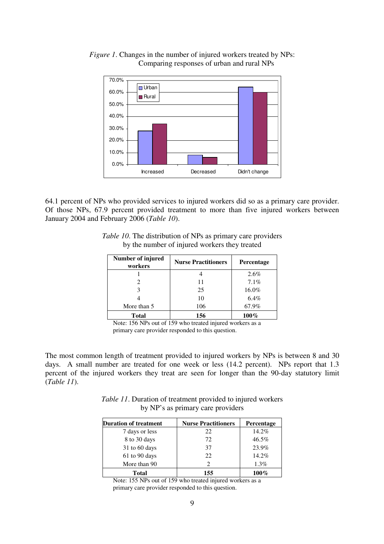

*Figure 1*. Changes in the number of injured workers treated by NPs: Comparing responses of urban and rural NPs

64.1 percent of NPs who provided services to injured workers did so as a primary care provider. Of those NPs, 67.9 percent provided treatment to more than five injured workers between January 2004 and February 2006 (*Table 10*).

| Number of injured<br>workers | <b>Nurse Practitioners</b> | Percentage |
|------------------------------|----------------------------|------------|
|                              |                            | 2.6%       |
|                              | 11                         | $7.1\%$    |
|                              | 25                         | 16.0%      |
|                              | 10                         | 6.4%       |
| More than 5                  | 106                        | 67.9%      |
| <b>Total</b>                 | 156                        | $100\%$    |

*Table 10*. The distribution of NPs as primary care providers by the number of injured workers they treated

Note: 156 NPs out of 159 who treated injured workers as a primary care provider responded to this question.

The most common length of treatment provided to injured workers by NPs is between 8 and 30 days. A small number are treated for one week or less (14.2 percent). NPs report that 1.3 percent of the injured workers they treat are seen for longer than the 90-day statutory limit (*Table 11*).

*Table 11*. Duration of treatment provided to injured workers by NP's as primary care providers

| <b>Duration of treatment</b> | <b>Nurse Practitioners</b> | <b>Percentage</b> |
|------------------------------|----------------------------|-------------------|
| 7 days or less               | 22                         | 14.2%             |
| 8 to 30 days                 | 72                         | $46.5\%$          |
| $31$ to 60 days              | 37                         | 23.9%             |
| 61 to 90 days                | 22                         | 14.2%             |
| More than 90                 |                            | $1.3\%$           |
| Total                        | 155                        | $100\%$           |

Note: 155 NPs out of 159 who treated injured workers as a primary care provider responded to this question.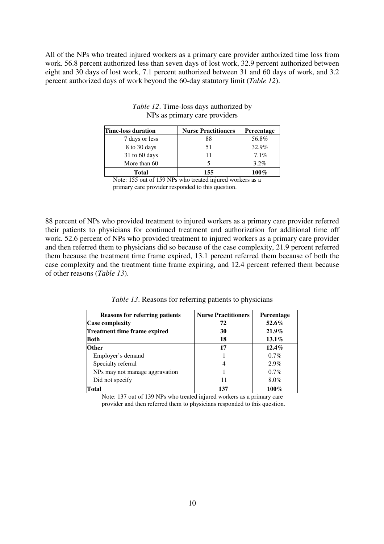All of the NPs who treated injured workers as a primary care provider authorized time loss from work. 56.8 percent authorized less than seven days of lost work, 32.9 percent authorized between eight and 30 days of lost work, 7.1 percent authorized between 31 and 60 days of work, and 3.2 percent authorized days of work beyond the 60-day statutory limit (*Table 12*).

| <b>Time-loss duration</b> | <b>Nurse Practitioners</b> | <b>Percentage</b> |
|---------------------------|----------------------------|-------------------|
| 7 days or less            | 88                         | 56.8%             |
| 8 to 30 days              | 51                         | 32.9%             |
| $31$ to 60 days           |                            | $7.1\%$           |
| More than 60              |                            | $3.2\%$           |
| Total                     | 155                        | $100\%$           |

#### *Table 12*. Time-loss days authorized by NPs as primary care providers

Note: 155 out of 159 NPs who treated injured workers as a primary care provider responded to this question.

88 percent of NPs who provided treatment to injured workers as a primary care provider referred their patients to physicians for continued treatment and authorization for additional time off work. 52.6 percent of NPs who provided treatment to injured workers as a primary care provider and then referred them to physicians did so because of the case complexity, 21.9 percent referred them because the treatment time frame expired, 13.1 percent referred them because of both the case complexity and the treatment time frame expiring, and 12.4 percent referred them because of other reasons (*Table 13*).

*Table 13*. Reasons for referring patients to physicians

| <b>Reasons for referring patients</b> | <b>Nurse Practitioners</b> | <b>Percentage</b> |
|---------------------------------------|----------------------------|-------------------|
| <b>Case complexity</b>                | 72                         | $52.6\%$          |
| <b>Treatment time frame expired</b>   | 30                         | $21.9\%$          |
| <b>Both</b>                           | 18                         | $13.1\%$          |
| <b>Other</b>                          | 17                         | $12.4\%$          |
| Employer's demand                     |                            | $0.7\%$           |
| Specialty referral                    | 4                          | 2.9%              |
| NPs may not manage aggravation        |                            | $0.7\%$           |
| Did not specify                       | 11                         | $8.0\%$           |
| Total                                 | 137                        | $100\%$           |

Note: 137 out of 139 NPs who treated injured workers as a primary care provider and then referred them to physicians responded to this question.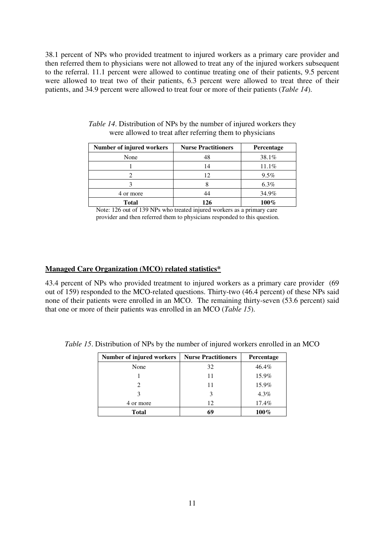38.1 percent of NPs who provided treatment to injured workers as a primary care provider and then referred them to physicians were not allowed to treat any of the injured workers subsequent to the referral. 11.1 percent were allowed to continue treating one of their patients, 9.5 percent were allowed to treat two of their patients, 6.3 percent were allowed to treat three of their patients, and 34.9 percent were allowed to treat four or more of their patients (*Table 14*).

| Number of injured workers | <b>Nurse Practitioners</b> | <b>Percentage</b> |
|---------------------------|----------------------------|-------------------|
| None                      | 48                         | 38.1%             |
|                           | 14                         | 11.1%             |
|                           | 12                         | 9.5%              |
|                           |                            | $6.3\%$           |
| 4 or more                 | 44                         | 34.9%             |
| <b>Total</b>              | 126                        | $100\%$           |

| Table 14. Distribution of NPs by the number of injured workers they |
|---------------------------------------------------------------------|
| were allowed to treat after referring them to physicians            |

Note: 126 out of 139 NPs who treated injured workers as a primary care provider and then referred them to physicians responded to this question.

## **Managed Care Organization (MCO) related statistics\***

43.4 percent of NPs who provided treatment to injured workers as a primary care provider (69 out of 159) responded to the MCO-related questions. Thirty-two (46.4 percent) of these NPs said none of their patients were enrolled in an MCO. The remaining thirty-seven (53.6 percent) said that one or more of their patients was enrolled in an MCO (*Table 15*).

| Number of injured workers | <b>Nurse Practitioners</b> | Percentage |
|---------------------------|----------------------------|------------|
| None                      | 32                         | 46.4%      |
|                           | 11                         | 15.9%      |
|                           | 11                         | 15.9%      |
| 3                         |                            | $4.3\%$    |
| 4 or more                 | 12                         | 17.4%      |
| <b>Total</b>              | 69                         | $100\%$    |

*Table 15*. Distribution of NPs by the number of injured workers enrolled in an MCO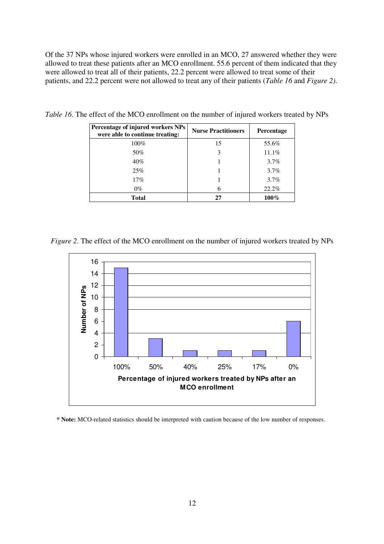Of the 37 NPs whose injured workers were enrolled in an MCO, 27 answered whether they were allowed to treat these patients after an MCO enrollment. 55.6 percent of them indicated that they were allowed to treat all of their patients, 22.2 percent were allowed to treat some of their patients, and 22.2 percent were not allowed to treat any of their patients (*Table 16* and *Figure 2)*.

| Percentage of injured workers NPs<br>were able to continue treating: | <b>Nurse Practitioners</b> | <b>Percentage</b> |
|----------------------------------------------------------------------|----------------------------|-------------------|
| 100%                                                                 | 15                         | 55.6%             |
| 50%                                                                  | 3                          | 11.1%             |
| 40%                                                                  |                            | 3.7%              |
| 25%                                                                  |                            | 3.7%              |
| 17%                                                                  |                            | $3.7\%$           |
| $0\%$                                                                | 6                          | 22.2%             |
| Total                                                                | 27                         | $100\%$           |

*Table 16*. The effect of the MCO enrollment on the number of injured workers treated by NPs

*Figure 2.* The effect of the MCO enrollment on the number of injured workers treated by NPs



**\* Note:** MCO-related statistics should be interpreted with caution because of the low number of responses.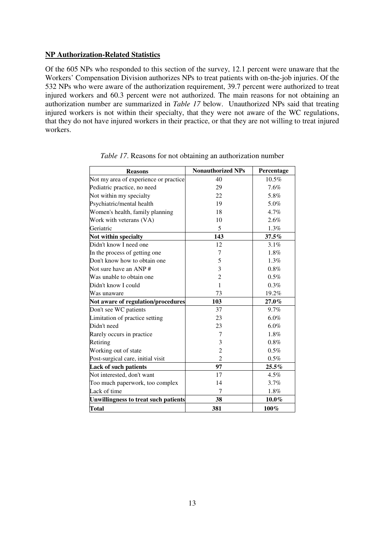#### **NP Authorization-Related Statistics**

Of the 605 NPs who responded to this section of the survey, 12.1 percent were unaware that the Workers' Compensation Division authorizes NPs to treat patients with on-the-job injuries. Of the 532 NPs who were aware of the authorization requirement, 39.7 percent were authorized to treat injured workers and 60.3 percent were not authorized. The main reasons for not obtaining an authorization number are summarized in *Table 17* below. Unauthorized NPs said that treating injured workers is not within their specialty, that they were not aware of the WC regulations, that they do not have injured workers in their practice, or that they are not willing to treat injured workers.

| <b>Reasons</b>                              | <b>Nonauthorized NPs</b> | Percentage |
|---------------------------------------------|--------------------------|------------|
| Not my area of experience or practice       | 40                       | $10.5\%$   |
| Pediatric practice, no need                 | 29                       | 7.6%       |
| Not within my specialty                     | 22                       | 5.8%       |
| Psychiatric/mental health                   | 19                       | 5.0%       |
| Women's health, family planning             | 18                       | 4.7%       |
| Work with veterans (VA)                     | 10                       | 2.6%       |
| Geriatric                                   | 5                        | 1.3%       |
| Not within specialty                        | 143                      | 37.5%      |
| Didn't know I need one                      | 12                       | 3.1%       |
| In the process of getting one               | 7                        | 1.8%       |
| Don't know how to obtain one                | 5                        | 1.3%       |
| Not sure have an ANP#                       | 3                        | 0.8%       |
| Was unable to obtain one                    | $\overline{c}$           | 0.5%       |
| Didn't know I could                         | $\mathbf{1}$             | 0.3%       |
| Was unaware                                 | 73                       | 19.2%      |
| Not aware of regulation/procedures          | 103                      | $27.0\%$   |
| Don't see WC patients                       | 37                       | 9.7%       |
| Limitation of practice setting              | 23                       | $6.0\%$    |
| Didn't need                                 | 23                       | 6.0%       |
| Rarely occurs in practice                   | 7                        | 1.8%       |
| Retiring                                    | 3                        | $0.8\%$    |
| Working out of state                        | $\overline{c}$           | $0.5\%$    |
| Post-surgical care, initial visit           | $\overline{2}$           | $0.5\%$    |
| <b>Lack of such patients</b>                | 97                       | $25.5\%$   |
| Not interested, don't want                  | 17                       | 4.5%       |
| Too much paperwork, too complex             | 14                       | 3.7%       |
| Lack of time                                | 7                        | 1.8%       |
| <b>Unwillingness to treat such patients</b> | 38                       | $10.0\%$   |
| <b>Total</b>                                | 381                      | 100%       |

*Table 17*. Reasons for not obtaining an authorization number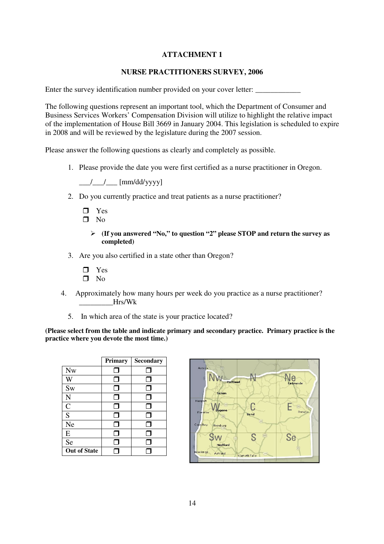# **ATTACHMENT 1**

# **NURSE PRACTITIONERS SURVEY, 2006**

Enter the survey identification number provided on your cover letter:

The following questions represent an important tool, which the Department of Consumer and Business Services Workers' Compensation Division will utilize to highlight the relative impact of the implementation of House Bill 3669 in January 2004. This legislation is scheduled to expire in 2008 and will be reviewed by the legislature during the 2007 session.

Please answer the following questions as clearly and completely as possible.

1. Please provide the date you were first certified as a nurse practitioner in Oregon.

 $\frac{\frac{1}{2}}{\frac{1}{2}}$  [mm/dd/yyyy]

2. Do you currently practice and treat patients as a nurse practitioner?

 Yes  $\Box$  No

- **(If you answered "No," to question "2" please STOP and return the survey as completed)**
- 3. Are you also certified in a state other than Oregon?
	- □ Yes  $\square$  No
- 4. Approximately how many hours per week do you practice as a nurse practitioner?  $Hrs/Wk$ 
	- 5. In which area of the state is your practice located?

**(Please select from the table and indicate primary and secondary practice. Primary practice is the practice where you devote the most time.)** 

|                     | Primary | <b>Secondary</b> |
|---------------------|---------|------------------|
| <b>Nw</b>           | J       | . I              |
| W                   | П       |                  |
| Sw                  | П       | ┓                |
| N                   | J       |                  |
| $\overline{C}$      | П       |                  |
| S                   | ⊓       | ⊓                |
| <b>Ne</b>           | ⊓       | ٦                |
| E                   |         |                  |
| Se                  |         |                  |
| <b>Out of State</b> |         |                  |

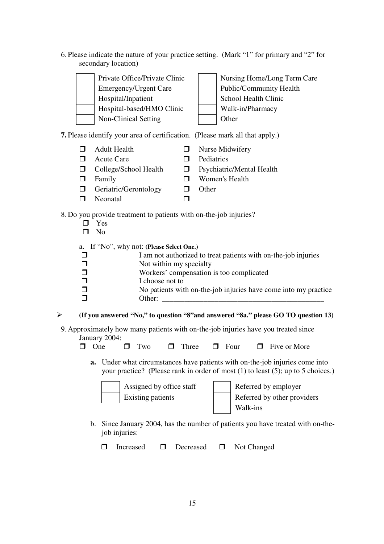6. Please indicate the nature of your practice setting. (Mark "1" for primary and "2" for secondary location)

| Private Office/Private Clinic | Nursing Home/Long Term Care    |
|-------------------------------|--------------------------------|
| Emergency/Urgent Care         | <b>Public/Community Health</b> |
| Hospital/Inpatient            | School Health Clinic           |
| Hospital-based/HMO Clinic     | Walk-in/Pharmacy               |
| Non-Clinical Setting          | Other                          |

## **7.** Please identify your area of certification. (Please mark all that apply.)

- $\Box$  Adult Health  $\Box$  Nurse Midwifery
- $\Box$  Acute Care  $\Box$  Pediatrics
- $\Box$  College/School Health  $\Box$  Psychiatric/Mental Health
- **D** Family **D** Women's Health
- $\Box$  Geriatric/Gerontology  $\Box$  Other
- $\Box$  Neonatal  $\Box$

# 8. Do you provide treatment to patients with on-the-job injuries?

 $\Box$  Yes  $\square$  No a. If "No", why not: **(Please Select One.)**  $\Box$  I am not authorized to treat patients with on-the-job injuries  $\Box$  Not within my specialty Workers' compensation is too complicated  $\Box$  I choose not to  $\Box$  No patients with on-the-job injuries have come into my practice Other: \_\_\_\_\_\_\_\_\_\_\_\_\_\_\_\_\_\_\_\_\_\_\_\_\_\_\_\_\_\_\_\_\_\_\_\_\_\_\_\_\_\_\_

#### $\blacktriangleright$ **(If you answered "No," to question "8"and answered "8a." please GO TO question 13)**

- 9. Approximately how many patients with on-the-job injuries have you treated since January 2004:
	- $\Box$  One  $\Box$  Two  $\Box$  Three  $\Box$  Four  $\Box$  Five or More
		- **a.** Under what circumstances have patients with on-the-job injuries come into your practice? (Please rank in order of most (1) to least (5); up to 5 choices.)

| Assigned by office staff | Referred by employer        |
|--------------------------|-----------------------------|
| Existing patients        | Referred by other providers |
|                          | Walk-ins                    |

b. Since January 2004, has the number of patients you have treated with on-thejob injuries:

□ Increased □ Decreased □ Not Changed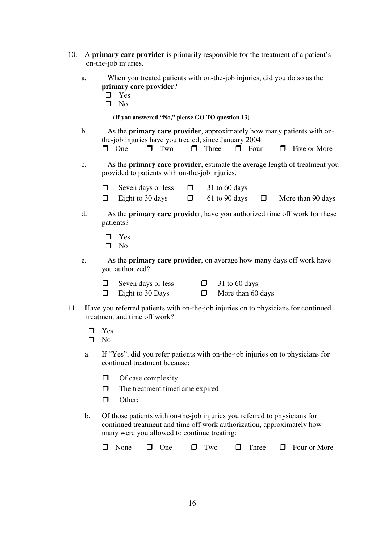- 10. A **primary care provider** is primarily responsible for the treatment of a patient's on-the-job injuries.
	- a. When you treated patients with on-the-job injuries, did you do so as the **primary care provider**?
		- $\blacksquare$  Yes
		- $\blacksquare$  No

**(If you answered "No," please GO TO question 13)** 

b. As the **primary care provider**, approximately how many patients with onthe-job injuries have you treated, since January 2004:

| $\Box$ One $\Box$ Two $\Box$ Three $\Box$ Four $\Box$ Five or More |  |
|--------------------------------------------------------------------|--|

- c. As the **primary care provider**, estimate the average length of treatment you provided to patients with on-the-job injuries.
	- $\Box$  Seven days or less  $\Box$  31 to 60 days
	- $\Box$  Eight to 30 days  $\Box$  61 to 90 days  $\Box$  More than 90 days
- d. As the **primary care provide**r, have you authorized time off work for these patients?
	- $\blacksquare$  Yes
	- $\blacksquare$  No
- e. As the **primary care provider**, on average how many days off work have you authorized?
	- $\Box$  Seven days or less  $\Box$  31 to 60 days
	- $\Box$  Eight to 30 Days  $\Box$  More than 60 days
- 
- 11. Have you referred patients with on-the-job injuries on to physicians for continued treatment and time off work?
	- □ Yes
	- $\square$  No
	- a. If "Yes", did you refer patients with on-the-job injuries on to physicians for continued treatment because:
		- $\Box$  Of case complexity
		- $\Box$  The treatment timeframe expired
		- **Other:**
	- b. Of those patients with on-the-job injuries you referred to physicians for continued treatment and time off work authorization, approximately how many were you allowed to continue treating:

| $\Box$ None $\Box$ One $\Box$ Two $\Box$ Three $\Box$ Four or More |  |  |  |  |  |
|--------------------------------------------------------------------|--|--|--|--|--|
|--------------------------------------------------------------------|--|--|--|--|--|